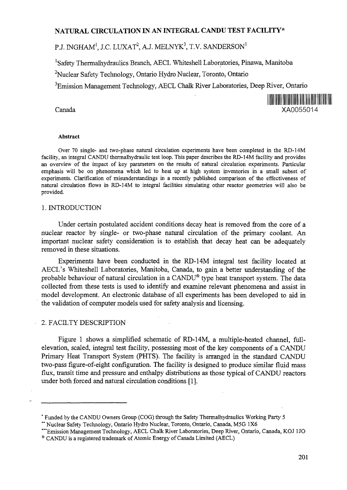# **NATURAL CIRCULATION IN AN INTEGRAL CANDU TEST FACILITY\***

# P.J. INGHAM $^{\rm l}$ , J.C. LUXAT $^{\rm 2}$ , A.J. MELNYK $^{\rm 3}$ , T.V. SANDERSON $^{\rm l}$

<sup>1</sup>Safety Thermalhydraulics Branch, AECL Whiteshell Laboratories, Pinawa, Manitoba

<sup>2</sup>Nuclear Safety Technology, Ontario Hydro Nuclear, Toronto, Ontario

<sup>3</sup>Emission Management Technology, AECL Chalk River Laboratories, Deep River, Ontario



#### **Abstract**

Over 70 single- and two-phase natural circulation experiments have been completed in the RD-14M facility, an integral CANDU thermalhydraulic test loop. This paper describes the RD-14M facility and provides an overview of the impact of key parameters on the results of natural circulation experiments. Particular emphasis will be on phenomena which led to heat up at high system inventories in a small subset of experiments. Clarification of misunderstandings in a recently published comparison of the effectiveness of natural circulation flows in RD-14M to integral facilities simulating other reactor geometries will also be provided.

#### 1. INTRODUCTION

Under certain postulated accident conditions decay heat is removed from the core of a nuclear reactor by single- or two-phase natural circulation of the primary coolant. An important nuclear safety consideration is to establish that decay heat can be adequately removed in these situations.

Experiments have been conducted in the RD-14M integral test facility located at AECL's Whiteshell Laboratories, Manitoba, Canada, to gain a better understanding of the probable behaviour of natural circulation in a CANDU® type heat transport system. The data collected from these tests is used to identify and examine relevant phenomena and assist in model development. An electronic database of all experiments has been developed to aid in the validation of computer models used for safety analysis and licensing.

#### 2. FACILTY DESCRIPTION

Figure 1 shows a simplified schematic of RD-14M, a multiple-heated channel, fullelevation, scaled, integral test facility, possessing most of the key components of a CANDU Primary Heat Transport System (PHTS). The facility is arranged in the standard CANDU two-pass figure-of-eight configuration. The facility is designed to produce similar fluid mass flux, transit time and pressure and enthalpy distributions as those typical of CANDU reactors under both forced and natural circulation conditions [1].

Funded by the CANDU Owners Group (COG) through the Safety Thermalhydraulics Working Party 5

<sup>&#</sup>x27;\* Nuclear Safety Technology, Ontario Hydro Nuclear, Toronto, Ontario, Canada, M5G 1X6

<sup>&</sup>quot;Emission Management Technology, AECL Chalk River Laboratories, Deep River, Ontario, Canada, KOJ 1 JO

<sup>9</sup> CANDU is a registered trademark of Atomic Energy of Canada Limited (AECL)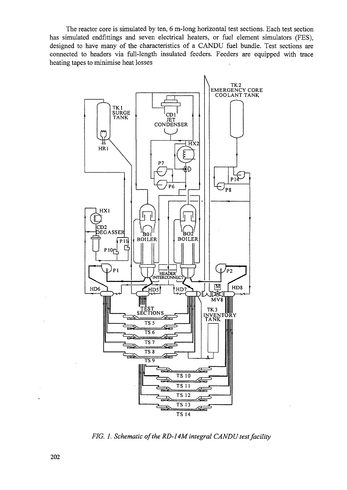The reactor core is simulated by ten, 6 m-long horizontal test sections. Each test section has simulated endfittings and seven electrical heaters, or fuel element simulators (FES), designed to have many of the characteristics of a CANDU fuel bundle. Test sections are connected to headers via full-length insulated feeders. Feeders are equipped with trace heating tapes to minimise heat losses



*FIG. I. Schematic of the RD-14M integral CANDU test facility*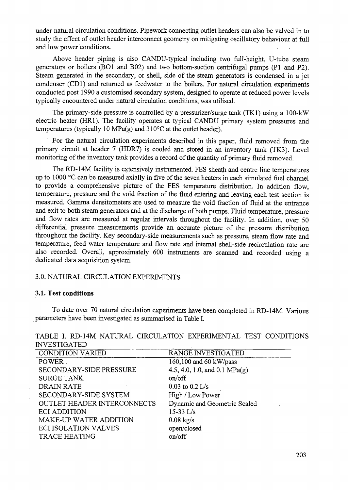under natural circulation conditions. Pipework connecting outlet headers can also be valved in to study the effect of outlet header interconnect geometry on mitigating oscillatory behaviour at full and low power conditions.

Above header piping is also CANDU-typical including two full-height, U-tube steam generators or boilers (BO1 and B02) and two bottom-suction centrifugal pumps (PI and P2). Steam generated in the secondary, or shell, side of the steam generators is condensed in a jet condenser (CD1) and returned as feedwater to the boilers. For natural circulation experiments conducted post 1990 a customised secondary system, designed to operate at reduced power levels typically encountered under natural circulation conditions, was utilised.

The primary-side pressure is controlled by a pressurizer/surge tank (TK1) using a 100-kW electric heater (HR1). The facility operates at typical CANDU primary system pressures and temperatures (typically 10 MPa $(g)$  and 310°C at the outlet header).

For the natural circulation experiments described in this paper, fluid removed from the primary circuit at header 7 (HDR7) is cooled and stored in an inventory tank (TK3). Level monitoring of the inventory tank provides a record of the quantity of primary fluid removed.

The RD-14M facility is extensively instrumented. FES sheath and centre line temperatures up to 1000 °C can be measured axially in five of the seven heaters in each simulated fuel channel to provide a comprehensive picture of the FES temperature distribution. In addition flow, temperature, pressure and the void fraction of the fluid entering and leaving each test section is measured. Gamma densitometers are used to measure the void fraction of fluid at the entrance and exit to both steam generators and at the discharge of both pumps. Fluid temperature, pressure and flow rates are measured at regular intervals throughout the facility. In addition, over 50 differential pressure measurements provide an accurate picture of the pressure distribution throughout the facility. Key secondary-side measurements such as pressure, steam flow rate and temperature, feed water temperature and flow rate and internal shell-side recirculation rate are also recorded. Overall, approximately 600 instruments are scanned and recorded using a dedicated data acquisition system.

# 3.0. NATURAL CIRCULATION EXPERIMENTS

#### **3.1. Test conditions**

To date over 70 natural circulation experiments have been completed in RD-14M. Various parameters have been investigated as summarised in Table I.

| <b>CONDITION VARIED</b>            | <b>RANGE INVESTIGATED</b>       |
|------------------------------------|---------------------------------|
| <b>POWER</b>                       | 160,100 and 60 kW/pass          |
| SECONDARY-SIDE PRESSURE            | 4.5, 4.0, 1.0, and 0.1 $MPa(g)$ |
| <b>SURGE TANK</b>                  | on/off                          |
| <b>DRAIN RATE</b>                  | $0.03$ to $0.2$ L/s             |
| SECONDARY-SIDE SYSTEM              | High / Low Power                |
| <b>OUTLET HEADER INTERCONNECTS</b> | Dynamic and Geometric Scaled    |
| <b>ECI ADDITION</b>                | $15-33$ L/s                     |
| MAKE-UP WATER ADDITION             | $0.08$ kg/s                     |
| <b>ECI ISOLATION VALVES</b>        | open/closed                     |
| <b>TRACE HEATING</b>               | on/off                          |
|                                    |                                 |

TABLE I. RD-14M NATURAL CIRCULATION EXPERIMENTAL TEST CONDITIONS INVESTIGATED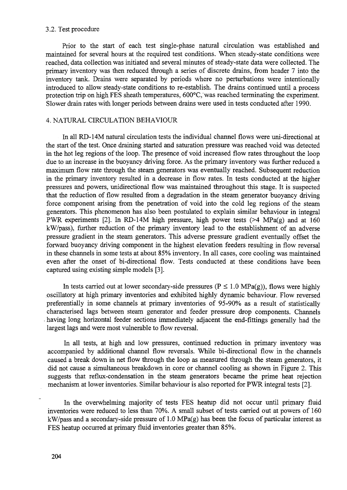#### 3.2. Test procedure

Prior to the start of each test single-phase natural circulation was established and maintained for several hours at the required test conditions. When steady-state conditions were reached, data collection was initiated and several minutes of steady-state data were collected. The primary inventory was then reduced through a series of discrete drains, from header 7 into the inventory tank. Drains were separated by periods where no perturbations were intentionally introduced to allow steady-state conditions to re-establish. The drains continued until a process protection trip on high FES sheath temperatures, 600°C, was reached terminating the experiment. Slower drain rates with longer periods between drains were used in tests conducted after 1990.

## 4. NATURAL CIRCULATION BEHAVIOUR

In all RD-14M natural circulation tests the individual channel flows were uni-directional at the start of the test. Once draining started and saturation pressure was reached void was detected in the hot leg regions of the loop. The presence of void increased flow rates throughout the loop due to an increase in the buoyancy driving force. As the primary inventory was further reduced a maximum flow rate through the steam generators was eventually reached. Subsequent reduction in the primary inventory resulted in a decrease in flow rates. In tests conducted at the higher pressures and powers, unidirectional flow was maintained throughout this stage. It is suspected that the reduction of flow resulted from a degradation in the steam generator buoyancy driving force component arising from the penetration of void into the cold leg regions of the steam generators. This phenomenon has also been postulated to explain similar behaviour in integral PWR experiments [2]. In RD-14M high pressure, high power tests  $(>4 \text{ MPa(g)}$  and at 160 kW/pass), further reduction of the primary inventory lead to the establishment of an adverse pressure gradient in the steam generators. This adverse pressure gradient eventually offset the forward buoyancy driving component in the highest elevation feeders resulting in flow reversal in these channels in some tests at about 85% inventory. In all cases, core cooling was maintained even after the onset of bi-directional flow. Tests conducted at these conditions have been captured using existing simple models [3].

In tests carried out at lower secondary-side pressures ( $P \le 1.0$  MPa(g)), flows were highly oscillatory at high primary inventories and exhibited highly dynamic behaviour. Flow reversed preferentially in some channels at primary inventories of 95-90% as a result of statistically characterised lags between steam generator and feeder pressure drop components. Channels • having long horizontal feeder sections immediately adjacent the end-fittings generally had the largest lags and were most vulnerable to flow reversal.

In all tests, at high and low pressures, continued reduction in primary inventory was accompanied by additional channel flow reversals. While bi-directional flow in the channels caused a break down in net flow through the loop as measured through the steam generators, it did not cause a simultaneous breakdown in core or channel cooling as shown in Figure 2. This suggests that reflux-condensation in the steam generators became the prime heat rejection mechanism at lower inventories. Similar behaviour is also reported for PWR integral tests [2].

In the overwhelming majority of tests FES heatup did not occur until primary fluid inventories were reduced to less than 70%. A small subset of tests carried out at powers of 160  $kW/pass$  and a secondary-side pressure of 1.0 MPa(g) has been the focus of particular interest as FES heatup occurred at primary fluid inventories greater than 85%.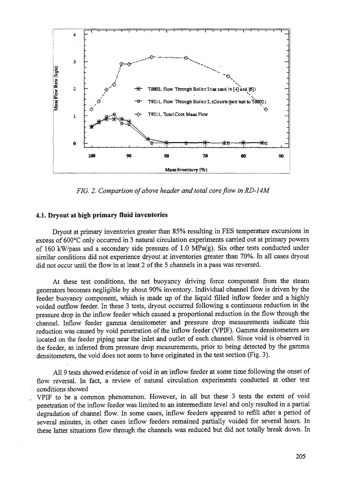

*FIG. 2. Comparison of above header and total core flow in RD-14M*

#### **4.1. Dryout at high primary fluid inventories**

Dryout at primary inventories greater than 85% resulting in FES temperature excursions in excess of 600°C only occurred in 3 natural circulation experiments carried out at primary powers of 160 kW/pass and a secondary side pressure of 1.0 MPa(g). Six other tests conducted under similar conditions did not experience dryout at inventories greater than 70%. In all cases dryout did not occur until the flow in at least 2 of the 5 channels in a pass was reversed.

At these test conditions, the net buoyancy driving force component from the steam generators becomes negligible by about 90% inventory. Individual channel flow is driven by the feeder buoyancy component, which is made up of the liquid filled inflow feeder and a highly voided outflow feeder. In these 3 tests, dryout occurred following a continuous reduction in the pressure drop in the inflow feeder which caused a proportional reduction in the flow through the •channel. Inflow feeder gamma densitometer and pressure drop measurements indicate this reduction was caused by void penetration of the inflow feeder (VPIF). Gamma densitometers are located on the feeder piping near the inlet and outlet of each channel. Since void is observed in the feeder, as inferred from pressure drop measurements, prior to being detected by the gamma densitometers, the void does not seem to have originated in the test section (Fig. 3).

All 9 tests showed evidence of void in an inflow feeder at some time following the onset of flow reversal. In fact, a review of natural circulation experiments conducted at other test conditions showed

VPIF to be a common phenomenon. However, in all but these 3 tests the extent of void penetration of the inflow feeder was limited to an intermediate level and only resulted in a partial degradation of channel flow. In some cases, inflow feeders appeared to refill after a period of several minutes, in other cases inflow feeders remained partially voided for several hours. In these latter situations flow through the channels was reduced but did not totally break down. In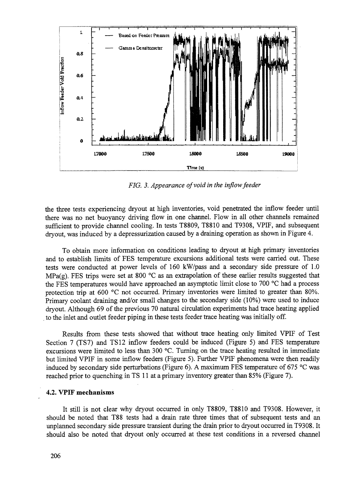

*FIG. 3. Appearance of void in the inflow feeder*

the three tests experiencing dryout at high inventories, void penetrated the inflow feeder until there was no net buoyancy driving flow in one channel. Flow in all other channels remained sufficient to provide channel cooling. In tests T8809, T8810 and T9308, VPIF, and subsequent dryout, was induced by a depressurization caused by a draining operation as shown in Figure 4.

To obtain more information on conditions leading to dryout at high primary inventories and to establish limits of FES temperature excursions additional tests were carried out. These tests were conducted at power levels of 160 kW/pass and a secondary side pressure of 1.0 MPa(g). FES trips were set at 800 °C as an extrapolation of these earlier results suggested that the FES temperatures would have approached an asymptotic limit close to 700 °C had a process protection trip at 600 °C not occurred. Primary inventories were limited to greater than 80%. Primary coolant draining and/or small changes to the secondary side (10%) were used to induce dryout. Although 69 of the previous 70 natural circulation experiments had trace heating applied to the inlet and outlet feeder piping in these tests feeder trace heating was initially off.

Results from these tests showed that without trace heating only limited VPIF of Test Section 7 (TS7) and TS12 inflow feeders could be induced (Figure 5) and FES temperature excursions were limited to less than 300 °C. Turning on the trace heating resulted in immediate but limited VPIF in some inflow feeders (Figure 5). Further VPIF phenomena were then readily induced by secondary side perturbations (Figure 6). A maximum FES temperature of 675 °C was reached prior to quenching in TS 11 at a primary inventory greater than 85% (Figure 7).

### **4.2. VPIF mechanisms**

It still is not clear why dryout occurred in only T8809, T8810 and T9308. However, it should be noted that T88 tests had a drain rate three times that of subsequent tests and an unplanned secondary side pressure transient during the drain prior to dryout occurred in T9308. It should also be noted that dryout only occurred at these test conditions in a reversed channel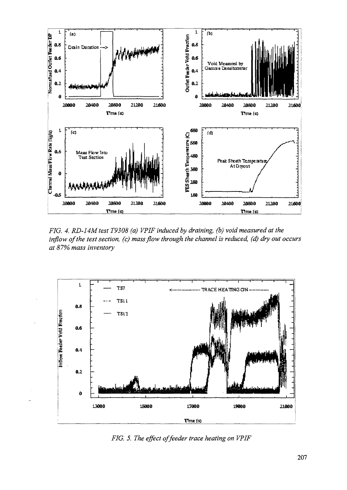

*FIG. 4. RD-14M test T9308 (a) VPIF induced by draining, (b) void measured at the inflow of the test section, (c) mass flow through the channel is reduced, (d) dry out occurs at 87% mass inventory*



*FIG. 5. The effect of feeder trace heating on VPIF*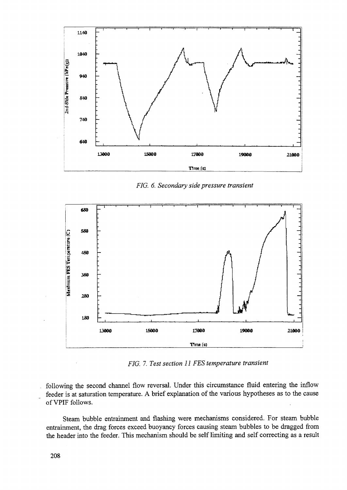

*FIG. 6. Secondary side pressure transient*



*FIG. 7. Test section II FES temperature transient*

following the second channel flow reversal. Under this circumstance fluid entering the inflow feeder is at saturation temperature. A brief explanation of the various hypotheses as to the cause of VPIF follows.

Steam bubble entrainment and flashing were mechanisms considered. For steam bubble entrainment, the drag forces exceed buoyancy forces causing steam bubbles to be dragged from the header into the feeder. This mechanism should be self limiting and self correcting as a result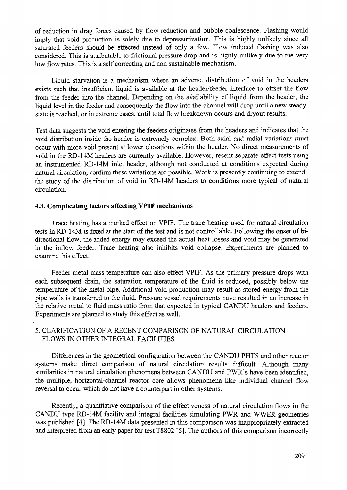of reduction in drag forces caused by flow reduction and bubble coalescence. Flashing would imply that void production is solely due to depressurization. This is highly unlikely since all saturated feeders should be effected instead of only a few. Flow induced flashing was also considered. This is attributable to frictional pressure drop and is highly unlikely due to the very low flow rates. This is a self correcting and non sustainable mechanism.

Liquid starvation is a mechanism where an adverse distribution of void in the headers exists such that insufficient liquid is available at the header/feeder interface to offset the flow from the feeder into the channel. Depending on the availability of liquid from the header, the liquid level in the feeder and consequently the flow into the channel will drop until a new steadystate is reached, or in extreme cases, until total flow breakdown occurs and dryout results.

Test data suggests the void entering the feeders originates from the headers and indicates that the void distribution inside the header is extremely complex. Both axial and radial variations must occur with more void present at lower elevations within the header. No direct measurements of void in the RD-14M headers are currently available. However, recent separate effect tests using an instrumented RD-14M inlet header, although not conducted at conditions expected during natural circulation, confirm these variations are possible. Work is presently continuing to extend the study of the distribution of void in RD-14M headers to conditions more typical of natural circulation.

#### **4.3. Complicating factors affecting VPIF mechanisms**

Trace heating has a marked effect on VPIF. The trace heating used for natural circulation tests in RD-14M is fixed at the start of the test and is not controllable. Following the onset of bidirectional flow, the added energy may exceed the actual heat losses and void may be generated in the inflow feeder. Trace heating also inhibits void collapse. Experiments are planned to examine this effect.

Feeder metal mass temperature can also effect VPIF. As the primary pressure drops with each subsequent drain, the saturation temperature of the fluid is reduced, possibly below the temperature of the metal pipe. Additional void production may result as stored energy from the pipe walls is transferred to the fluid. Pressure vessel requirements have resulted in an increase in the relative metal to fluid mass ratio from that expected in typical CANDU headers and feeders. Experiments are planned to study this effect as well.

# 5. CLARIFICATION OF A RECENT COMPARISON OF NATURAL CIRCULATION FLOWS IN OTHER INTEGRAL FACILITIES

Differences in the geometrical configuration between the CANDU PHTS and other reactor systems make direct comparison of natural circulation results difficult. Although many similarities in natural circulation phenomena between CANDU and PWR's have been identified, the multiple, horizontal-channel reactor core allows phenomena like individual channel flow reversal to occur which do not have a counterpart in other systems.

Recently, a quantitative comparison of the effectiveness of natural circulation flows in the CANDU type RD-14M facility and integral facilities simulating PWR and WWER geometries was published [4]. The RD-14M data presented in this comparison was inappropriately extracted and interpreted from an early paper for test T8802 [5]. The authors of this comparison incorrectly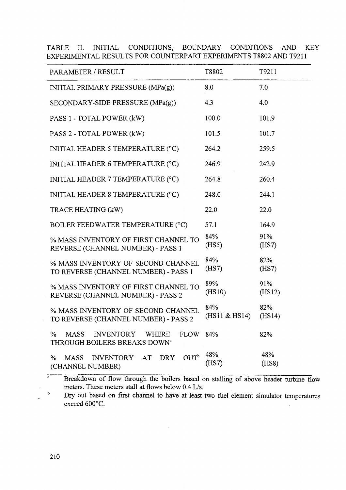| PARAMETER / RESULT                                                                                    | T8802                 | T9211         |
|-------------------------------------------------------------------------------------------------------|-----------------------|---------------|
| INITIAL PRIMARY PRESSURE (MPa(g))                                                                     | 8.0                   | 7.0           |
| $SECONDARY-SIDE PRESSURE (MPa(g))$                                                                    | 4.3                   | 4.0           |
| PASS 1 - TOTAL POWER (kW)                                                                             | 100.0                 | 101.9         |
| PASS 2 - TOTAL POWER (kW)                                                                             | 101.5                 | 101.7         |
| INITIAL HEADER 5 TEMPERATURE (°C)                                                                     | 264.2                 | 259.5         |
| INITIAL HEADER 6 TEMPERATURE (°C)                                                                     | 246.9                 | 242.9         |
| INITIAL HEADER 7 TEMPERATURE (°C)                                                                     | 264.8                 | 260.4         |
| INITIAL HEADER 8 TEMPERATURE (°C)                                                                     | 248.0                 | 244.1         |
| TRACE HEATING (kW)                                                                                    | 22.0                  | 22.0          |
| BOILER FEEDWATER TEMPERATURE (°C)                                                                     | 57.1                  | 164.9         |
| % MASS INVENTORY OF FIRST CHANNEL TO<br>REVERSE (CHANNEL NUMBER) - PASS 1                             | 84%<br>(HS5)          | 91%<br>(HS7)  |
| % MASS INVENTORY OF SECOND CHANNEL<br>TO REVERSE (CHANNEL NUMBER) - PASS 1                            | 84%<br>(HS7)          | 82%<br>(HS7)  |
| % MASS INVENTORY OF FIRST CHANNEL TO<br>REVERSE (CHANNEL NUMBER) - PASS 2                             | 89%<br>(HS10)         | 91%<br>(HS12) |
| % MASS INVENTORY OF SECOND CHANNEL<br>TO REVERSE (CHANNEL NUMBER) - PASS 2                            | 84%<br>(HS11 & EHS14) | 82%<br>(HS14) |
| $\%$<br><b>MASS</b><br>INVENTORY WHERE<br><b>FLOW 84%</b><br>THROUGH BOILERS BREAKS DOWN <sup>a</sup> |                       | 82%           |
| OUT <sup>b</sup><br><b>DRY</b><br>INVENTORY AT<br>$\%$<br>MASS<br>(CHANNEL NUMBER)                    | 48%<br>(HS7)          | 48%<br>(HSS)  |
|                                                                                                       |                       |               |

TABLE II. INITIAL CONDITIONS, BOUNDARY CONDITIONS AND KEY EXPERIMENTAL RESULTS FOR COUNTERPART EXPERIMENTS T8802 AND T9211

a Breakdown of flow through the boilers based on stalling of above header turbine flow meters. These meters stall at flows below 0.4 L/s.

b Dry out based on first channel to have at least two fuel element simulator temperatures exceed 600°C.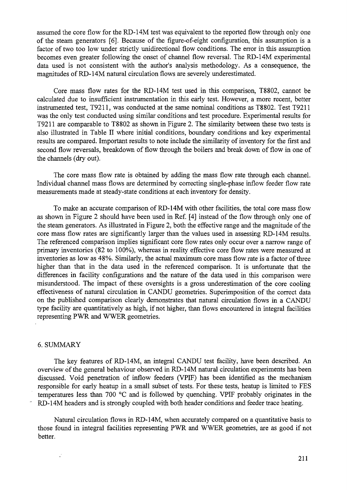assumed the core flow for the RD-14M test was equivalent to the reported flow through only one of the steam generators [6]. Because of the figure-of-eight configuration, this assumption is a factor of two too low under strictly unidirectional flow conditions. The error in this assumption becomes even greater following the onset of channel flow reversal. The RD-14M experimental data used is not consistent with the author's analysis methodology. As a consequence, the magnitudes of RD-14M natural circulation flows are severely underestimated.

Core mass flow rates for the RD-14M test used in this comparison, T8802, cannot be calculated due to insufficient instrumentation in this early test. However, a more recent, better instrumented test, T9211, was conducted at the same nominal conditions as T8802. Test T9211 was the only test conducted using similar conditions and test procedure. Experimental results for T9211 are comparable to T8802 as shown in Figure 2. The similarity between these two tests is also illustrated in Table II where initial conditions, boundary conditions and key experimental results are compared. Important results to note include the similarity of inventory for the first and second flow reversals, breakdown of flow through the boilers and break down of flow in one of the channels (dry out).

The core mass flow rate is obtained by adding the mass flow rate through each channel. Individual channel mass flows are determined by correcting single-phase inflow feeder flow rate measurements made at steady-state conditions at each inventory for density.

To make an accurate comparison of RD-14M with other facilities, the total core mass flow as shown in Figure 2 should have been used in Ref. [4] instead of the flow through only one of the steam generators. As illustrated in Figure 2, both the effective range and the magnitude of the core mass flow rates are significantly larger than the values used in assessing RD-14M results. The referenced comparison implies significant core flow rates only occur over a narrow range of primary inventories (82 to 100%), whereas in reality effective core flow rates were measured at inventories as low as 48%. Similarly, the actual maximum core mass flow rate is a factor of three higher than that in the data used in the referenced comparison. It is unfortunate that the differences in facility configurations and the nature of the data used in this comparison were misunderstood. The impact of these oversights is a gross underestimation of the core cooling effectiveness of natural circulation in CANDU geometries. Superimposition of the correct data on the published comparison clearly demonstrates that natural circulation flows in a CANDU type facility are quantitatively as high, if not higher, than flows encountered in integral facilities representing PWR and WWER geometries.

#### 6. SUMMARY

 $\ddot{\cdot}$ 

The key features of RD-14M, an integral CANDU test facility, have been described. An overview of the general behaviour observed in RD-14M natural circulation experiments has been discussed. Void penetration of inflow feeders (VPIF) has been identified as the mechanism responsible for early heatup in a small subset of tests. For these tests, heatup is limited to FES temperatures less than 700 °C and is followed by quenching. VPIF probably originates in the RD-14M headers and is strongly coupled with both header conditions and feeder trace heating.

Natural circulation flows in RD-14M, when accurately compared on a quantitative basis to those found in integral facilities representing PWR and WWER geometries, are as good if not better.